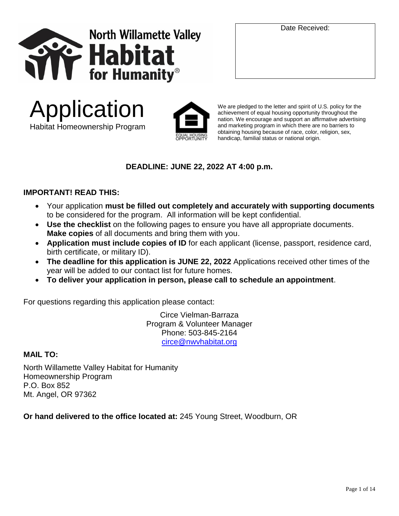





We are pledged to the letter and spirit of U.S. policy for the achievement of equal housing opportunity throughout the nation. We encourage and support an affirmative advertising and marketing program in which there are no barriers to obtaining housing because of race, color, religion, sex, handicap, familial status or national origin.

## **DEADLINE: JUNE 22, 2022 AT 4:00 p.m.**

## **IMPORTANT! READ THIS:**

- Your application **must be filled out completely and accurately with supporting documents** to be considered for the program. All information will be kept confidential.
- **Use the checklist** on the following pages to ensure you have all appropriate documents. **Make copies** of all documents and bring them with you.
- **Application must include copies of ID** for each applicant (license, passport, residence card, birth certificate, or military ID).
- **The deadline for this application is JUNE 22, 2022** Applications received other times of the year will be added to our contact list for future homes.
- **To deliver your application in person, please call to schedule an appointment**.

For questions regarding this application please contact:

Circe Vielman-Barraza Program & Volunteer Manager Phone: 503-845-2164 [circe@nwvhabitat.org](mailto:circe@nwvhabitat.org)

#### **MAIL TO:**

North Willamette Valley Habitat for Humanity Homeownership Program P.O. Box 852 Mt. Angel, OR 97362

**Or hand delivered to the office located at:** 245 Young Street, Woodburn, OR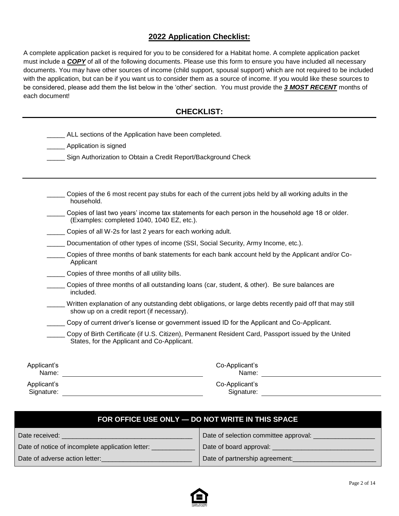### **2022 Application Checklist:**

A complete application packet is required for you to be considered for a Habitat home. A complete application packet must include a *COPY* of all of the following documents. Please use this form to ensure you have included all necessary documents. You may have other sources of income (child support, spousal support) which are not required to be included with the application, but can be if you want us to consider them as a source of income. If you would like these sources to be considered, please add them the list below in the 'other' section. You must provide the *3 MOST RECENT* months of each document!

#### **CHECKLIST:**

|                      | ALL sections of the Application have been completed.                                                                                                   |
|----------------------|--------------------------------------------------------------------------------------------------------------------------------------------------------|
|                      | Application is signed                                                                                                                                  |
|                      | Sign Authorization to Obtain a Credit Report/Background Check                                                                                          |
|                      |                                                                                                                                                        |
|                      |                                                                                                                                                        |
|                      | Copies of the 6 most recent pay stubs for each of the current jobs held by all working adults in the<br>household.                                     |
|                      | Copies of last two years' income tax statements for each person in the household age 18 or older.<br>(Examples: completed 1040, 1040 EZ, etc.).        |
|                      | Copies of all W-2s for last 2 years for each working adult.                                                                                            |
|                      | Documentation of other types of income (SSI, Social Security, Army Income, etc.).                                                                      |
|                      | Copies of three months of bank statements for each bank account held by the Applicant and/or Co-<br>Applicant                                          |
|                      | Copies of three months of all utility bills.                                                                                                           |
|                      | Copies of three months of all outstanding loans (car, student, & other). Be sure balances are<br>included.                                             |
|                      | Written explanation of any outstanding debt obligations, or large debts recently paid off that may still<br>show up on a credit report (if necessary). |
|                      | Copy of current driver's license or government issued ID for the Applicant and Co-Applicant.                                                           |
|                      | Copy of Birth Certificate (if U.S. Citizen), Permanent Resident Card, Passport issued by the United<br>States, for the Applicant and Co-Applicant.     |
| Applicant's<br>Name: | Co-Applicant's<br>Name:                                                                                                                                |

Applicant's Signature: We have a state of the state of the state of the state of the state of the state of the state of the state of the state of the state of the state of the state of the state of the state of the state of the state Co-Applicant's Signature: Website and the state of the state of the state of the state of the state of the state of the state of the state of the state of the state of the state of the state of the state of the state of the state of the

| FOR OFFICE USE ONLY - DO NOT WRITE IN THIS SPACE |                                       |  |  |  |  |
|--------------------------------------------------|---------------------------------------|--|--|--|--|
| Date received:                                   | Date of selection committee approval: |  |  |  |  |
| Date of notice of incomplete application letter: | Date of board approval: ______        |  |  |  |  |
| Date of adverse action letter:                   | Date of partnership agreement:        |  |  |  |  |

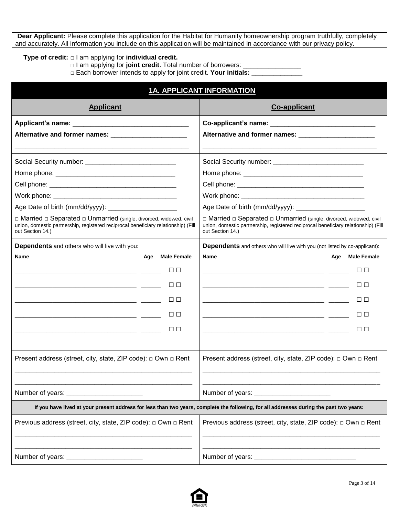**Dear Applicant:** Please complete this application for the Habitat for Humanity homeownership program truthfully, completely and accurately. All information you include on this application will be maintained in accordance with our privacy policy.

#### **Type of credit: □** I am applying for **individual credit.**

□ I am applying for **joint credit**. Total number of borrowers: \_\_\_\_\_\_\_\_\_\_\_\_\_\_\_\_\_\_

**□** Each borrower intends to apply for joint credit. **Your initials:** \_\_\_\_\_\_\_\_\_\_\_\_\_\_

| <b>1A. APPLICANT INFORMATION</b>                                                                                                                                              |                                                                                                                                                                                              |  |  |  |  |
|-------------------------------------------------------------------------------------------------------------------------------------------------------------------------------|----------------------------------------------------------------------------------------------------------------------------------------------------------------------------------------------|--|--|--|--|
| <b>Applicant</b>                                                                                                                                                              | <b>Co-applicant</b>                                                                                                                                                                          |  |  |  |  |
|                                                                                                                                                                               |                                                                                                                                                                                              |  |  |  |  |
| Alternative and former names: _______________________                                                                                                                         | Alternative and former names: ________________________                                                                                                                                       |  |  |  |  |
|                                                                                                                                                                               |                                                                                                                                                                                              |  |  |  |  |
|                                                                                                                                                                               |                                                                                                                                                                                              |  |  |  |  |
|                                                                                                                                                                               |                                                                                                                                                                                              |  |  |  |  |
|                                                                                                                                                                               |                                                                                                                                                                                              |  |  |  |  |
|                                                                                                                                                                               |                                                                                                                                                                                              |  |  |  |  |
| Age Date of birth (mm/dd/yyyy): ________________________                                                                                                                      |                                                                                                                                                                                              |  |  |  |  |
| □ Married □ Separated □ Unmarried (single, divorced, widowed, civil<br>union, domestic partnership, registered reciprocal beneficiary relationship) (Fill<br>out Section 14.) | $\Box$ Married $\Box$ Separated $\Box$ Unmarried (single, divorced, widowed, civil<br>union, domestic partnership, registered reciprocal beneficiary relationship) (Fill<br>out Section 14.) |  |  |  |  |
| <b>Dependents</b> and others who will live with you:                                                                                                                          | <b>Dependents</b> and others who will live with you (not listed by co-applicant):                                                                                                            |  |  |  |  |
| <b>Male Female</b><br>Name<br>Age                                                                                                                                             | Name<br><b>Male Female</b><br>Age                                                                                                                                                            |  |  |  |  |
| $\Box$ $\Box$                                                                                                                                                                 | $\Box$ $\Box$                                                                                                                                                                                |  |  |  |  |
| □□                                                                                                                                                                            | □□                                                                                                                                                                                           |  |  |  |  |
|                                                                                                                                                                               |                                                                                                                                                                                              |  |  |  |  |
| □□                                                                                                                                                                            | $\Box$ $\Box$                                                                                                                                                                                |  |  |  |  |
| <b>TELEVISION</b>                                                                                                                                                             |                                                                                                                                                                                              |  |  |  |  |
| $\Box$ $\Box$                                                                                                                                                                 | □□                                                                                                                                                                                           |  |  |  |  |
|                                                                                                                                                                               |                                                                                                                                                                                              |  |  |  |  |
| Present address (street, city, state, ZIP code): □ Own □ Rent                                                                                                                 | Present address (street, city, state, ZIP code): □ Own □ Rent                                                                                                                                |  |  |  |  |
|                                                                                                                                                                               |                                                                                                                                                                                              |  |  |  |  |
| If you have lived at your present address for less than two years, complete the following, for all addresses during the past two years:                                       |                                                                                                                                                                                              |  |  |  |  |
| Previous address (street, city, state, ZIP code): □ Own □ Rent                                                                                                                | Previous address (street, city, state, ZIP code): □ Own □ Rent                                                                                                                               |  |  |  |  |
| Number of years:                                                                                                                                                              | Number of years:                                                                                                                                                                             |  |  |  |  |

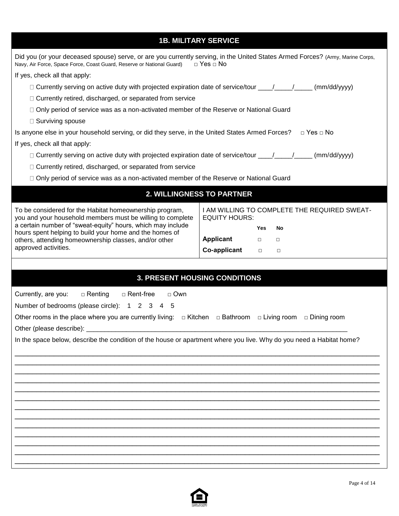# **1B. MILITARY SERVICE**

| Did you (or your deceased spouse) serve, or are you currently serving, in the United States Armed Forces? (Army, Marine Corps,<br>Navy, Air Force, Space Force, Coast Guard, Reserve or National Guard) | $\Box$ Yes $\Box$ No |        |                                              |  |  |  |  |
|---------------------------------------------------------------------------------------------------------------------------------------------------------------------------------------------------------|----------------------|--------|----------------------------------------------|--|--|--|--|
| If yes, check all that apply:                                                                                                                                                                           |                      |        |                                              |  |  |  |  |
| □ Currently serving on active duty with projected expiration date of service/tour ____/____/____(mm/dd/yyyy)                                                                                            |                      |        |                                              |  |  |  |  |
| □ Currently retired, discharged, or separated from service                                                                                                                                              |                      |        |                                              |  |  |  |  |
| □ Only period of service was as a non-activated member of the Reserve or National Guard                                                                                                                 |                      |        |                                              |  |  |  |  |
| □ Surviving spouse                                                                                                                                                                                      |                      |        |                                              |  |  |  |  |
| Is anyone else in your household serving, or did they serve, in the United States Armed Forces?                                                                                                         |                      |        | $\Box$ Yes $\Box$ No                         |  |  |  |  |
| If yes, check all that apply:                                                                                                                                                                           |                      |        |                                              |  |  |  |  |
| □ Currently serving on active duty with projected expiration date of service/tour ____/____/____(mm/dd/yyyy)                                                                                            |                      |        |                                              |  |  |  |  |
| □ Currently retired, discharged, or separated from service                                                                                                                                              |                      |        |                                              |  |  |  |  |
| □ Only period of service was as a non-activated member of the Reserve or National Guard                                                                                                                 |                      |        |                                              |  |  |  |  |
| 2. WILLINGNESS TO PARTNER                                                                                                                                                                               |                      |        |                                              |  |  |  |  |
| To be considered for the Habitat homeownership program,<br>you and your household members must be willing to complete                                                                                   | <b>EQUITY HOURS:</b> |        | I AM WILLING TO COMPLETE THE REQUIRED SWEAT- |  |  |  |  |
| a certain number of "sweat-equity" hours, which may include                                                                                                                                             |                      | Yes    | No                                           |  |  |  |  |
| hours spent helping to build your home and the homes of<br>others, attending homeownership classes, and/or other                                                                                        | Applicant            | $\Box$ | $\Box$                                       |  |  |  |  |
| approved activities.                                                                                                                                                                                    | Co-applicant         | $\Box$ | $\Box$                                       |  |  |  |  |
|                                                                                                                                                                                                         |                      |        |                                              |  |  |  |  |
|                                                                                                                                                                                                         |                      |        |                                              |  |  |  |  |
| <b>3. PRESENT HOUSING CONDITIONS</b>                                                                                                                                                                    |                      |        |                                              |  |  |  |  |
| Currently, are you:<br>□ Renting<br>□ Rent-free<br>$\Box$ Own                                                                                                                                           |                      |        |                                              |  |  |  |  |
| Number of bedrooms (please circle): 1 2 3 4 5                                                                                                                                                           |                      |        |                                              |  |  |  |  |
| Other rooms in the place where you are currently living: $\Box$ Kitchen $\Box$ Bathroom $\Box$ Living room $\Box$ Dining room                                                                           |                      |        |                                              |  |  |  |  |
|                                                                                                                                                                                                         |                      |        |                                              |  |  |  |  |
| In the space below, describe the condition of the house or apartment where you live. Why do you need a Habitat home?                                                                                    |                      |        |                                              |  |  |  |  |
|                                                                                                                                                                                                         |                      |        |                                              |  |  |  |  |
|                                                                                                                                                                                                         |                      |        |                                              |  |  |  |  |
|                                                                                                                                                                                                         |                      |        |                                              |  |  |  |  |
|                                                                                                                                                                                                         |                      |        |                                              |  |  |  |  |
|                                                                                                                                                                                                         |                      |        |                                              |  |  |  |  |
|                                                                                                                                                                                                         |                      |        |                                              |  |  |  |  |
|                                                                                                                                                                                                         |                      |        |                                              |  |  |  |  |
|                                                                                                                                                                                                         |                      |        |                                              |  |  |  |  |
|                                                                                                                                                                                                         |                      |        |                                              |  |  |  |  |
|                                                                                                                                                                                                         |                      |        |                                              |  |  |  |  |
|                                                                                                                                                                                                         |                      |        |                                              |  |  |  |  |

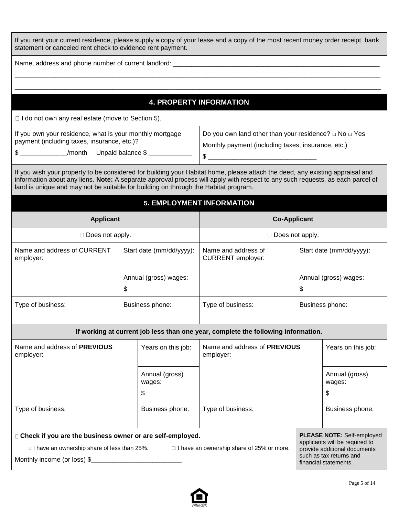| If you rent your current residence, please supply a copy of your lease and a copy of the most recent money order receipt, bank<br>statement or canceled rent check to evidence rent payment.                                                                                                                                                           |                                                                             |                       |                                                                                   |                          |                                                                |  |
|--------------------------------------------------------------------------------------------------------------------------------------------------------------------------------------------------------------------------------------------------------------------------------------------------------------------------------------------------------|-----------------------------------------------------------------------------|-----------------------|-----------------------------------------------------------------------------------|--------------------------|----------------------------------------------------------------|--|
|                                                                                                                                                                                                                                                                                                                                                        |                                                                             |                       |                                                                                   |                          |                                                                |  |
|                                                                                                                                                                                                                                                                                                                                                        |                                                                             |                       |                                                                                   |                          |                                                                |  |
|                                                                                                                                                                                                                                                                                                                                                        |                                                                             |                       |                                                                                   |                          |                                                                |  |
|                                                                                                                                                                                                                                                                                                                                                        |                                                                             |                       | <b>4. PROPERTY INFORMATION</b>                                                    |                          |                                                                |  |
| $\Box$ I do not own any real estate (move to Section 5).                                                                                                                                                                                                                                                                                               |                                                                             |                       |                                                                                   |                          |                                                                |  |
| If you own your residence, what is your monthly mortgage                                                                                                                                                                                                                                                                                               |                                                                             |                       | Do you own land other than your residence? $\Box$ No $\Box$ Yes                   |                          |                                                                |  |
| payment (including taxes, insurance, etc.)?                                                                                                                                                                                                                                                                                                            |                                                                             |                       | Monthly payment (including taxes, insurance, etc.)                                |                          |                                                                |  |
| \$ _______________/month Unpaid balance \$ ____________                                                                                                                                                                                                                                                                                                |                                                                             |                       | $\frac{1}{2}$                                                                     |                          |                                                                |  |
| If you wish your property to be considered for building your Habitat home, please attach the deed, any existing appraisal and<br>information about any liens. Note: A separate approval process will apply with respect to any such requests, as each parcel of<br>land is unique and may not be suitable for building on through the Habitat program. |                                                                             |                       |                                                                                   |                          |                                                                |  |
| <b>5. EMPLOYMENT INFORMATION</b>                                                                                                                                                                                                                                                                                                                       |                                                                             |                       |                                                                                   |                          |                                                                |  |
| <b>Applicant</b><br><b>Co-Applicant</b>                                                                                                                                                                                                                                                                                                                |                                                                             |                       |                                                                                   |                          |                                                                |  |
| $\Box$ Does not apply.                                                                                                                                                                                                                                                                                                                                 |                                                                             |                       | $\Box$ Does not apply.                                                            |                          |                                                                |  |
| Name and address of CURRENT<br>employer:                                                                                                                                                                                                                                                                                                               | Start date (mm/dd/yyyy):<br>Name and address of<br><b>CURRENT</b> employer: |                       |                                                                                   | Start date (mm/dd/yyyy): |                                                                |  |
|                                                                                                                                                                                                                                                                                                                                                        |                                                                             | Annual (gross) wages: |                                                                                   |                          | Annual (gross) wages:                                          |  |
|                                                                                                                                                                                                                                                                                                                                                        | \$                                                                          |                       |                                                                                   | \$                       |                                                                |  |
| Type of business:                                                                                                                                                                                                                                                                                                                                      |                                                                             | Business phone:       | Type of business:                                                                 |                          | Business phone:                                                |  |
|                                                                                                                                                                                                                                                                                                                                                        |                                                                             |                       | If working at current job less than one year, complete the following information. |                          |                                                                |  |
| Name and address of PREVIOUS<br>employer:                                                                                                                                                                                                                                                                                                              |                                                                             | Years on this job:    | Name and address of <b>PREVIOUS</b><br>employer:                                  |                          | Years on this job:                                             |  |
|                                                                                                                                                                                                                                                                                                                                                        |                                                                             | Annual (gross)        |                                                                                   |                          | Annual (gross)                                                 |  |
|                                                                                                                                                                                                                                                                                                                                                        |                                                                             | wages:                |                                                                                   |                          | wages:                                                         |  |
|                                                                                                                                                                                                                                                                                                                                                        |                                                                             | \$                    |                                                                                   |                          | \$                                                             |  |
| Type of business:                                                                                                                                                                                                                                                                                                                                      |                                                                             | Business phone:       | Type of business:                                                                 |                          | Business phone:                                                |  |
| □ Check if you are the business owner or are self-employed.                                                                                                                                                                                                                                                                                            |                                                                             |                       |                                                                                   |                          | PLEASE NOTE: Self-employed                                     |  |
| $\Box$ I have an ownership share of less than 25%.                                                                                                                                                                                                                                                                                                     |                                                                             |                       | $\Box$ I have an ownership share of 25% or more.                                  |                          | applicants will be required to<br>provide additional documents |  |
| Monthly income (or loss) \$                                                                                                                                                                                                                                                                                                                            |                                                                             |                       |                                                                                   |                          | such as tax returns and<br>financial statements.               |  |
|                                                                                                                                                                                                                                                                                                                                                        |                                                                             |                       |                                                                                   |                          |                                                                |  |

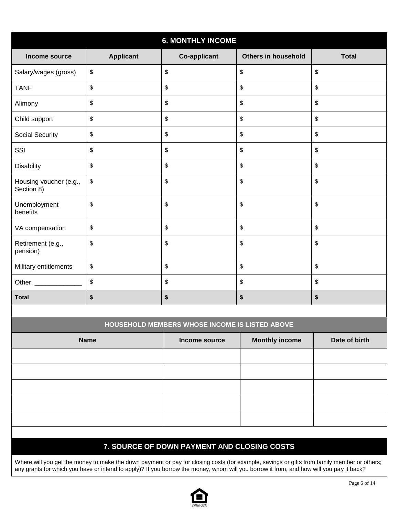| <b>6. MONTHLY INCOME</b>             |                  |                     |                            |              |  |  |  |
|--------------------------------------|------------------|---------------------|----------------------------|--------------|--|--|--|
| Income source                        | <b>Applicant</b> | <b>Co-applicant</b> | <b>Others in household</b> | <b>Total</b> |  |  |  |
| Salary/wages (gross)                 | \$               | $\,$                | $\sqrt[6]{\frac{1}{2}}$    | \$           |  |  |  |
| <b>TANF</b>                          | \$               | \$                  | $\sqrt[6]{\frac{1}{2}}$    | \$           |  |  |  |
| Alimony                              | \$               | \$                  | \$                         | \$           |  |  |  |
| Child support                        | \$               | \$                  | $\sqrt[6]{\frac{1}{2}}$    | \$           |  |  |  |
| Social Security                      | \$               | \$                  | $\sqrt[6]{\frac{1}{2}}$    | \$           |  |  |  |
| SSI                                  | \$               | \$                  | $\sqrt[6]{\frac{1}{2}}$    | \$           |  |  |  |
| <b>Disability</b>                    | \$               | \$                  | $\sqrt[6]{\frac{1}{2}}$    | \$           |  |  |  |
| Housing voucher (e.g.,<br>Section 8) | \$               | \$                  | \$                         | \$           |  |  |  |
| Unemployment<br>benefits             | \$               | \$                  | \$                         | \$           |  |  |  |
| VA compensation                      | \$               | \$                  | $\, \, \$$                 | \$           |  |  |  |
| Retirement (e.g.,<br>pension)        | \$               | \$                  | \$                         | \$           |  |  |  |
| Military entitlements                | \$               | \$                  | \$                         | \$           |  |  |  |
| Other: _____________                 | \$               | \$                  | $\sqrt[6]{\frac{1}{2}}$    | \$           |  |  |  |
| <b>Total</b>                         | \$               | \$                  | \$                         | \$           |  |  |  |
|                                      |                  |                     |                            |              |  |  |  |

| HOUSEHOLD MEMBERS WHOSE INCOME IS LISTED ABOVE                         |  |  |  |  |  |  |  |  |
|------------------------------------------------------------------------|--|--|--|--|--|--|--|--|
| <b>Monthly income</b><br>Date of birth<br><b>Name</b><br>Income source |  |  |  |  |  |  |  |  |
|                                                                        |  |  |  |  |  |  |  |  |
|                                                                        |  |  |  |  |  |  |  |  |
|                                                                        |  |  |  |  |  |  |  |  |
|                                                                        |  |  |  |  |  |  |  |  |
|                                                                        |  |  |  |  |  |  |  |  |
|                                                                        |  |  |  |  |  |  |  |  |

# **7. SOURCE OF DOWN PAYMENT AND CLOSING COSTS**

Where will you get the money to make the down payment or pay for closing costs (for example, savings or gifts from family member or others; any grants for which you have or intend to apply)? If you borrow the money, whom will you borrow it from, and how will you pay it back?

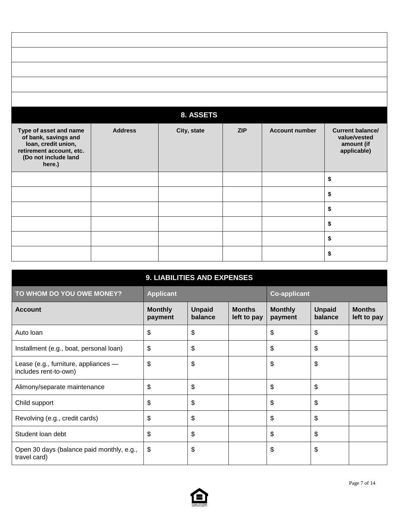|                                                                                                                                     |                | 8. ASSETS   |     |                       |                                                                      |
|-------------------------------------------------------------------------------------------------------------------------------------|----------------|-------------|-----|-----------------------|----------------------------------------------------------------------|
| Type of asset and name<br>of bank, savings and<br>loan, credit union,<br>retirement account, etc.<br>(Do not include land<br>here.) | <b>Address</b> | City, state | ZIP | <b>Account number</b> | <b>Current balance/</b><br>value/vested<br>amount (if<br>applicable) |
|                                                                                                                                     |                |             |     |                       | \$                                                                   |
|                                                                                                                                     |                |             |     |                       | \$                                                                   |
|                                                                                                                                     |                |             |     |                       | \$                                                                   |
|                                                                                                                                     |                |             |     |                       | \$                                                                   |
|                                                                                                                                     |                |             |     |                       | \$                                                                   |
|                                                                                                                                     |                |             |     |                       | \$                                                                   |

|                                                               | 9. LIABILITIES AND EXPENSES |                          |                              |                           |                          |                              |
|---------------------------------------------------------------|-----------------------------|--------------------------|------------------------------|---------------------------|--------------------------|------------------------------|
| TO WHOM DO YOU OWE MONEY?                                     | <b>Applicant</b>            |                          |                              | <b>Co-applicant</b>       |                          |                              |
| <b>Account</b>                                                | <b>Monthly</b><br>payment   | <b>Unpaid</b><br>balance | <b>Months</b><br>left to pay | <b>Monthly</b><br>payment | <b>Unpaid</b><br>balance | <b>Months</b><br>left to pay |
| Auto Ioan                                                     | \$                          | \$                       |                              | \$                        | \$                       |                              |
| Installment (e.g., boat, personal loan)                       | \$                          | \$                       |                              | \$                        | \$                       |                              |
| Lease (e.g., furniture, appliances -<br>includes rent-to-own) | \$                          | \$                       |                              | \$                        | \$                       |                              |
| Alimony/separate maintenance                                  | \$                          | \$                       |                              | \$                        | \$                       |                              |
| Child support                                                 | \$                          | \$                       |                              | \$                        | \$                       |                              |
| Revolving (e.g., credit cards)                                | \$                          | \$                       |                              | \$                        | \$                       |                              |
| Student Ioan debt                                             | \$                          | \$                       |                              | \$                        | \$                       |                              |
| Open 30 days (balance paid monthly, e.g.,<br>travel card)     | $\boldsymbol{\mathsf{S}}$   | \$                       |                              | \$                        | \$                       |                              |

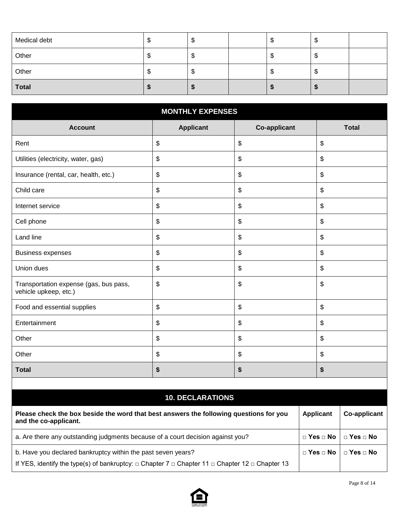| Medical debt | AD. | ۰D | ۰D | Ψ  |  |
|--------------|-----|----|----|----|--|
| Other        |     | ۰D | ۰D | ۰U |  |
| Other        |     | ۰D | ۰D | ۰U |  |
| <b>Total</b> |     |    |    |    |  |

| <b>MONTHLY EXPENSES</b>                                         |                                           |                           |                           |  |  |  |  |
|-----------------------------------------------------------------|-------------------------------------------|---------------------------|---------------------------|--|--|--|--|
| <b>Account</b>                                                  | <b>Applicant</b>                          | <b>Co-applicant</b>       | <b>Total</b>              |  |  |  |  |
| Rent                                                            | $\, \, \raisebox{12pt}{$\scriptstyle \$}$ | \$                        | \$                        |  |  |  |  |
| Utilities (electricity, water, gas)                             | $\, \, \raisebox{12pt}{$\scriptstyle \$}$ | \$                        | \$                        |  |  |  |  |
| Insurance (rental, car, health, etc.)                           | $\, \, \raisebox{12pt}{$\scriptstyle \$}$ | \$                        | \$                        |  |  |  |  |
| Child care                                                      | \$                                        | \$                        | \$                        |  |  |  |  |
| Internet service                                                | \$                                        | \$                        | \$                        |  |  |  |  |
| Cell phone                                                      | \$                                        | \$                        | $\boldsymbol{\mathsf{S}}$ |  |  |  |  |
| Land line                                                       | \$                                        | $\boldsymbol{\mathsf{S}}$ | \$                        |  |  |  |  |
| <b>Business expenses</b>                                        | \$                                        | \$                        | \$                        |  |  |  |  |
| Union dues                                                      | $\, \, \raisebox{12pt}{$\scriptstyle \$}$ | \$                        | \$                        |  |  |  |  |
| Transportation expense (gas, bus pass,<br>vehicle upkeep, etc.) | \$                                        | \$                        | \$                        |  |  |  |  |
| Food and essential supplies                                     | $\, \, \raisebox{12pt}{$\scriptstyle \$}$ | \$                        | \$                        |  |  |  |  |
| Entertainment                                                   | \$                                        | \$                        | \$                        |  |  |  |  |
| Other                                                           | \$                                        | \$                        | \$                        |  |  |  |  |
| Other                                                           | \$                                        | \$                        | \$                        |  |  |  |  |
| <b>Total</b>                                                    | \$                                        | \$                        | \$                        |  |  |  |  |
|                                                                 |                                           |                           |                           |  |  |  |  |

# **10. DECLARATIONS**

| Please check the box beside the word that best answers the following questions for you<br>and the co-applicant.                                                                    | Applicant                                 | Co-applicant |
|------------------------------------------------------------------------------------------------------------------------------------------------------------------------------------|-------------------------------------------|--------------|
| a. Are there any outstanding judgments because of a court decision against you?                                                                                                    | $\Box$ Yes $\Box$ No $\Box$ Yes $\Box$ No |              |
| b. Have you declared bankruptcy within the past seven years?<br>If YES, identify the type(s) of bankruptcy: $\Box$ Chapter 7 $\Box$ Chapter 11 $\Box$ Chapter 12 $\Box$ Chapter 13 | $\Box$ Yes $\Box$ No $\Box$ Yes $\Box$ No |              |

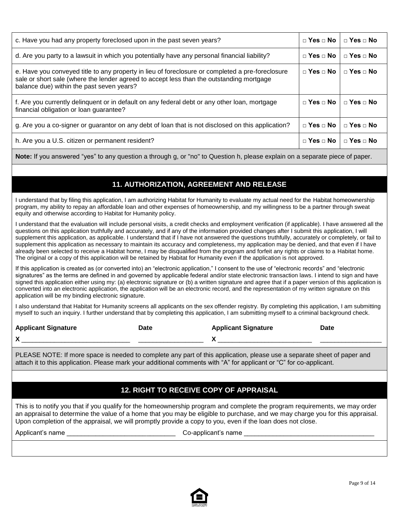| c. Have you had any property foreclosed upon in the past seven years?                                                                                                                                                                     |                          | $\Box$ Yes $\Box$ No |
|-------------------------------------------------------------------------------------------------------------------------------------------------------------------------------------------------------------------------------------------|--------------------------|----------------------|
| d. Are you party to a lawsuit in which you potentially have any personal financial liability?                                                                                                                                             | $\Box$ Yes $\Box$ No     | $\Box$ Yes $\Box$ No |
| e. Have you conveyed title to any property in lieu of foreclosure or completed a pre-foreclosure<br>sale or short sale (where the lender agreed to accept less than the outstanding mortgage<br>balance due) within the past seven years? | $\Box$ Yes $\Box$ No     | $\Box$ Yes $\Box$ No |
| f. Are you currently delinguent or in default on any federal debt or any other loan, mortgage<br>financial obligation or loan guarantee?                                                                                                  | $\sqcap$ Yes $\sqcap$ No | $\Box$ Yes $\Box$ No |
| g. Are you a co-signer or guarantor on any debt of loan that is not disclosed on this application?                                                                                                                                        | $\Box$ Yes $\Box$ No     | $\Box$ Yes $\Box$ No |
| h. Are you a U.S. citizen or permanent resident?                                                                                                                                                                                          | $\Box$ Yes $\Box$ No     | $\Box$ Yes $\Box$ No |

**Note:** If you answered "yes" to any question a through g, or "no" to Question h, please explain on a separate piece of paper.

## **11. AUTHORIZATION, AGREEMENT AND RELEASE**

I understand that by filing this application, I am authorizing Habitat for Humanity to evaluate my actual need for the Habitat homeownership program, my ability to repay an affordable loan and other expenses of homeownership, and my willingness to be a partner through sweat equity and otherwise according to Habitat for Humanity policy.

I understand that the evaluation will include personal visits, a credit checks and employment verification (if applicable). I have answered all the questions on this application truthfully and accurately, and if any of the information provided changes after I submit this application, I will supplement this application, as applicable. I understand that if I have not answered the questions truthfully, accurately or completely, or fail to supplement this application as necessary to maintain its accuracy and completeness, my application may be denied, and that even if I have already been selected to receive a Habitat home, I may be disqualified from the program and forfeit any rights or claims to a Habitat home. The original or a copy of this application will be retained by Habitat for Humanity even if the application is not approved.

If this application is created as (or converted into) an "electronic application," I consent to the use of "electronic records" and "electronic signatures" as the terms are defined in and governed by applicable federal and/or state electronic transaction laws. I intend to sign and have signed this application either using my: (a) electronic signature or (b) a written signature and agree that if a paper version of this application is converted into an electronic application, the application will be an electronic record, and the representation of my written signature on this application will be my binding electronic signature.

I also understand that Habitat for Humanity screens all applicants on the sex offender registry. By completing this application, I am submitting myself to such an inquiry. I further understand that by completing this application, I am submitting myself to a criminal background check.

| <b>Applicant Signature</b> | Date | <b>Applicant Signature</b> | Date |
|----------------------------|------|----------------------------|------|
| v<br>$\sqrt{ }$            |      |                            |      |

PLEASE NOTE: If more space is needed to complete any part of this application, please use a separate sheet of paper and attach it to this application. Please mark your additional comments with "A" for applicant or "C" for co-applicant.

### **12. RIGHT TO RECEIVE COPY OF APPRAISAL**

This is to notify you that if you qualify for the homeownership program and complete the program requirements, we may order an appraisal to determine the value of a home that you may be eligible to purchase, and we may charge you for this appraisal. Upon completion of the appraisal, we will promptly provide a copy to you, even if the loan does not close.

Applicant's name **and all a control of the Co-applicant's name**  $\sim$  Co-applicant's name

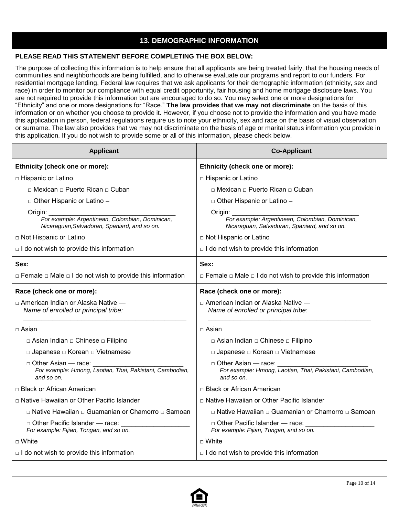### **13. DEMOGRAPHIC INFORMATION**

#### **PLEASE READ THIS STATEMENT BEFORE COMPLETING THE BOX BELOW:**

The purpose of collecting this information is to help ensure that all applicants are being treated fairly, that the housing needs of communities and neighborhoods are being fulfilled, and to otherwise evaluate our programs and report to our funders. For residential mortgage lending, Federal law requires that we ask applicants for their demographic information (ethnicity, sex and race) in order to monitor our compliance with equal credit opportunity, fair housing and home mortgage disclosure laws. You are not required to provide this information but are encouraged to do so. You may select one or more designations for "Ethnicity" and one or more designations for "Race." **The law provides that we may not discriminate** on the basis of this information or on whether you choose to provide it. However, if you choose not to provide the information and you have made this application in person, federal regulations require us to note your ethnicity, sex and race on the basis of visual observation or surname. The law also provides that we may not discriminate on the basis of age or marital status information you provide in this application. If you do not wish to provide some or all of this information, please check below.

| <b>Applicant</b>                                                                                                                       | <b>Co-Applicant</b>                                                                                                                    |
|----------------------------------------------------------------------------------------------------------------------------------------|----------------------------------------------------------------------------------------------------------------------------------------|
| Ethnicity (check one or more):                                                                                                         | Ethnicity (check one or more):                                                                                                         |
| □ Hispanic or Latino                                                                                                                   | □ Hispanic or Latino                                                                                                                   |
| □ Mexican □ Puerto Rican □ Cuban                                                                                                       | □ Mexican □ Puerto Rican □ Cuban                                                                                                       |
| □ Other Hispanic or Latino -                                                                                                           | □ Other Hispanic or Latino -                                                                                                           |
| Origin:<br>For example: Argentinean, Colombian, Dominican,<br>Nicaraguan, Salvadoran, Spaniard, and so on.<br>□ Not Hispanic or Latino | Origin:<br>For example: Argentinean, Colombian, Dominican,<br>Nicaraguan, Salvadoran, Spaniard, and so on.<br>□ Not Hispanic or Latino |
|                                                                                                                                        | $\Box$ I do not wish to provide this information                                                                                       |
| $\Box$ I do not wish to provide this information                                                                                       |                                                                                                                                        |
| Sex:                                                                                                                                   | Sex:                                                                                                                                   |
| $\Box$ Female $\Box$ Male $\Box$ I do not wish to provide this information                                                             | $\Box$ Female $\Box$ Male $\Box$ I do not wish to provide this information                                                             |
| Race (check one or more):                                                                                                              | Race (check one or more):                                                                                                              |
| □ American Indian or Alaska Native —<br>Name of enrolled or principal tribe:                                                           | □ American Indian or Alaska Native —<br>Name of enrolled or principal tribe:                                                           |
| $\Box$ Asian                                                                                                                           | □ Asian                                                                                                                                |
| □ Asian Indian □ Chinese □ Filipino                                                                                                    | □ Asian Indian □ Chinese □ Filipino                                                                                                    |
| □ Japanese □ Korean □ Vietnamese                                                                                                       | □ Japanese □ Korean □ Vietnamese                                                                                                       |
| $\Box$ Other Asian — race:<br>For example: Hmong, Laotian, Thai, Pakistani, Cambodian,<br>and so on.                                   | □ Other Asian — race:<br>For example: Hmong, Laotian, Thai, Pakistani, Cambodian,<br>and so on.                                        |
| □ Black or African American                                                                                                            | □ Black or African American                                                                                                            |
| □ Native Hawaiian or Other Pacific Islander                                                                                            | □ Native Hawaiian or Other Pacific Islander                                                                                            |
| □ Native Hawaiian □ Guamanian or Chamorro □ Samoan                                                                                     | □ Native Hawaiian □ Guamanian or Chamorro □ Samoan                                                                                     |
| □ Other Pacific Islander — race:<br>For example: Fijian, Tongan, and so on.                                                            | □ Other Pacific Islander — race: ______<br>For example: Fijian, Tongan, and so on.                                                     |
| $\sqcap$ White                                                                                                                         | $\sqcap$ White                                                                                                                         |
| $\Box$ I do not wish to provide this information                                                                                       | $\Box$ I do not wish to provide this information                                                                                       |

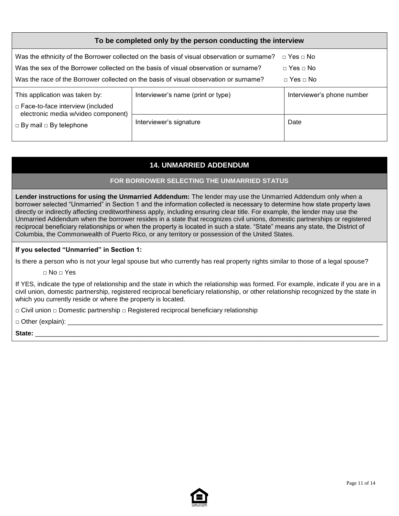| To be completed only by the person conducting the interview               |                                                                                                                                                                                                                                                                             |                                                                          |  |
|---------------------------------------------------------------------------|-----------------------------------------------------------------------------------------------------------------------------------------------------------------------------------------------------------------------------------------------------------------------------|--------------------------------------------------------------------------|--|
|                                                                           | Was the ethnicity of the Borrower collected on the basis of visual observation or surname?<br>Was the sex of the Borrower collected on the basis of visual observation or surname?<br>Was the race of the Borrower collected on the basis of visual observation or surname? | $\Box$ Yes $\Box$ No<br>$\Box$ Yes $\Box$ No<br>$\sqcap$ Yes $\sqcap$ No |  |
| This application was taken by:<br>$\Box$ Face-to-face interview (included | Interviewer's name (print or type)                                                                                                                                                                                                                                          | Interviewer's phone number                                               |  |
| electronic media w/video component)<br>$\Box$ By mail $\Box$ By telephone | Interviewer's signature                                                                                                                                                                                                                                                     | Date                                                                     |  |

## **14. UNMARRIED ADDENDUM**

#### **FOR BORROWER SELECTING THE UNMARRIED STATUS**

**Lender instructions for using the Unmarried Addendum:** The lender may use the Unmarried Addendum only when a borrower selected "Unmarried" in Section 1 and the information collected is necessary to determine how state property laws directly or indirectly affecting creditworthiness apply, including ensuring clear title. For example, the lender may use the Unmarried Addendum when the borrower resides in a state that recognizes civil unions, domestic partnerships or registered reciprocal beneficiary relationships or when the property is located in such a state. "State" means any state, the District of Columbia, the Commonwealth of Puerto Rico, or any territory or possession of the United States.

#### **If you selected "Unmarried" in Section 1:**

Is there a person who is not your legal spouse but who currently has real property rights similar to those of a legal spouse?

**□** No **□** Yes

If YES, indicate the type of relationship and the state in which the relationship was formed. For example, indicate if you are in a civil union, domestic partnership, registered reciprocal beneficiary relationship, or other relationship recognized by the state in which you currently reside or where the property is located.

**□** Civil union **□** Domestic partnership **□** Registered reciprocal beneficiary relationship

□ Other (explain):

**State:** \_\_\_\_\_\_\_\_\_\_\_\_\_\_\_\_\_\_\_\_\_\_\_\_\_\_\_\_\_\_\_\_\_\_\_\_\_\_\_\_\_\_\_\_\_\_\_\_\_\_\_\_\_\_\_\_\_\_\_\_\_\_\_\_\_\_\_\_\_\_\_\_\_\_\_\_\_\_\_\_\_\_\_\_\_\_\_\_\_\_\_\_\_\_\_

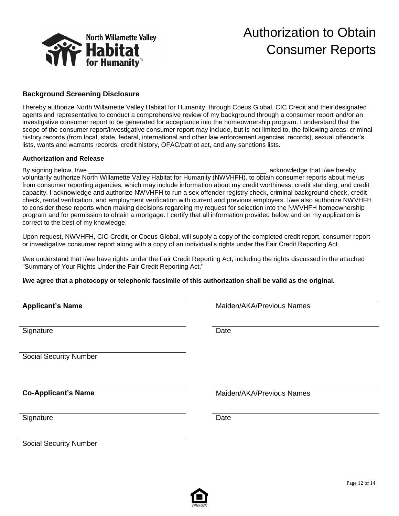

# Authorization to Obtain Consumer Reports

#### **Background Screening Disclosure**

I hereby authorize North Willamette Valley Habitat for Humanity, through Coeus Global, CIC Credit and their designated agents and representative to conduct a comprehensive review of my background through a consumer report and/or an investigative consumer report to be generated for acceptance into the homeownership program. I understand that the scope of the consumer report/investigative consumer report may include, but is not limited to, the following areas: criminal history records (from local, state, federal, international and other law enforcement agencies' records), sexual offender's lists, wants and warrants records, credit history, OFAC/patriot act, and any sanctions lists.

#### **Authorization and Release**

By signing below, I/we \_\_\_\_\_\_\_\_\_\_\_\_\_\_\_\_\_\_\_\_\_\_\_\_\_\_\_\_\_\_\_\_\_\_\_\_\_\_\_\_\_\_\_\_\_\_\_\_\_, acknowledge that I/we hereby voluntarily authorize North Willamette Valley Habitat for Humanity (NWVHFH). to obtain consumer reports about me/us from consumer reporting agencies, which may include information about my credit worthiness, credit standing, and credit capacity. I acknowledge and authorize NWVHFH to run a sex offender registry check, criminal background check, credit check, rental verification, and employment verification with current and previous employers. I/we also authorize NWVHFH to consider these reports when making decisions regarding my request for selection into the NWVHFH homeownership program and for permission to obtain a mortgage. I certify that all information provided below and on my application is correct to the best of my knowledge.

Upon request, NWVHFH, CIC Credit, or Coeus Global, will supply a copy of the completed credit report, consumer report or investigative consumer report along with a copy of an individual's rights under the Fair Credit Reporting Act.

I/we understand that I/we have rights under the Fair Credit Reporting Act, including the rights discussed in the attached "Summary of Your Rights Under the Fair Credit Reporting Act."

**I/we agree that a photocopy or telephonic facsimile of this authorization shall be valid as the original.**

| <b>Applicant's Name</b>       | Maiden/AKA/Previous Names |
|-------------------------------|---------------------------|
| Signature                     | Date                      |
|                               |                           |
| <b>Social Security Number</b> |                           |
|                               |                           |
| <b>Co-Applicant's Name</b>    | Maiden/AKA/Previous Names |
| Signature                     | Date                      |
| <b>Social Security Number</b> |                           |

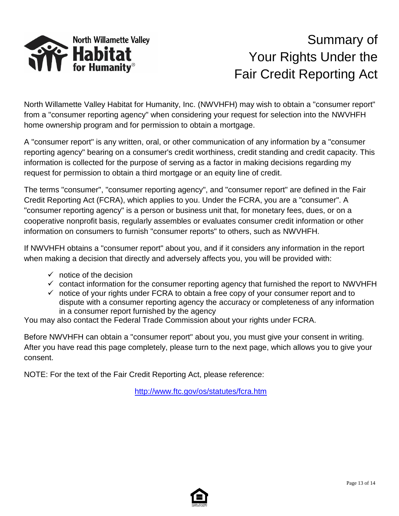

# Summary of Your Rights Under the Fair Credit Reporting Act

North Willamette Valley Habitat for Humanity, Inc. (NWVHFH) may wish to obtain a "consumer report" from a "consumer reporting agency" when considering your request for selection into the NWVHFH home ownership program and for permission to obtain a mortgage.

A "consumer report" is any written, oral, or other communication of any information by a "consumer reporting agency" bearing on a consumer's credit worthiness, credit standing and credit capacity. This information is collected for the purpose of serving as a factor in making decisions regarding my request for permission to obtain a third mortgage or an equity line of credit.

The terms "consumer", "consumer reporting agency", and "consumer report" are defined in the Fair Credit Reporting Act (FCRA), which applies to you. Under the FCRA, you are a "consumer". A "consumer reporting agency" is a person or business unit that, for monetary fees, dues, or on a cooperative nonprofit basis, regularly assembles or evaluates consumer credit information or other information on consumers to furnish "consumer reports" to others, such as NWVHFH.

If NWVHFH obtains a "consumer report" about you, and if it considers any information in the report when making a decision that directly and adversely affects you, you will be provided with:

- $\checkmark$  notice of the decision
- $\checkmark$  contact information for the consumer reporting agency that furnished the report to NWVHFH
- $\checkmark$  notice of your rights under FCRA to obtain a free copy of your consumer report and to dispute with a consumer reporting agency the accuracy or completeness of any information in a consumer report furnished by the agency

You may also contact the Federal Trade Commission about your rights under FCRA.

Before NWVHFH can obtain a "consumer report" about you, you must give your consent in writing. After you have read this page completely, please turn to the next page, which allows you to give your consent.

NOTE: For the text of the Fair Credit Reporting Act, please reference:

<http://www.ftc.gov/os/statutes/fcra.htm>